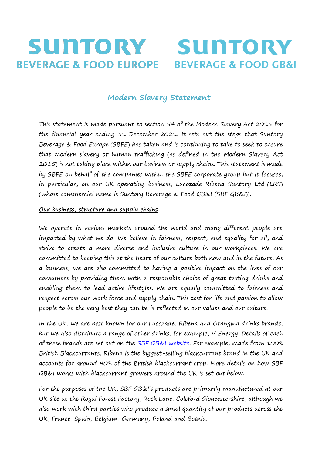## SUNTORY **SUNTORY BEVERAGE & FOOD EUROPE BEVERAGE & FOOD GB&I**

# **Modern Slavery Statement**

This statement is made pursuant to section 54 of the Modern Slavery Act 2015 for the financial year ending 31 December 2021. It sets out the steps that Suntory Beverage & Food Europe (SBFE) has taken and is continuing to take to seek to ensure that modern slavery or human trafficking (as defined in the Modern Slavery Act 2015) is not taking place within our business or supply chains. This statement is made by SBFE on behalf of the companies within the SBFE corporate group but it focuses, in particular, on our UK operating business, Lucozade Ribena Suntory Ltd (LRS) (whose commercial name is Suntory Beverage & Food GB&I (SBF GB&I)).

### **Our business, structure and supply chains**

We operate in various markets around the world and many different people are impacted by what we do. We believe in fairness, respect, and equality for all, and strive to create a more diverse and inclusive culture in our workplaces. We are committed to keeping this at the heart of our culture both now and in the future. As a business, we are also committed to having a positive impact on the lives of our consumers by providing them with a responsible choice of great tasting drinks and enabling them to lead active lifestyles. We are equally committed to fairness and respect across our work force and supply chain. This zest for life and passion to allow people to be the very best they can be is reflected in our values and our culture.

In the UK, we are best known for our Lucozade, Ribena and Orangina drinks brands, but we also distribute a range of other drinks, for example, V Energy. Details of each of these brands are set out on the SBF GB&I website. For example, made from 100% British Blackcurrants, Ribena is the biggest-selling blackcurrant brand in the UK and accounts for around 90% of the British blackcurrant crop. More details on how SBF GB&I works with blackcurrant growers around the UK is set out below.

For the purposes of the UK, SBF GB&I's products are primarily manufactured at our UK site at the Royal Forest Factory, Rock Lane, Coleford Gloucestershire, although we also work with third parties who produce a small quantity of our products across the UK, France, Spain, Belgium, Germany, Poland and Bosnia.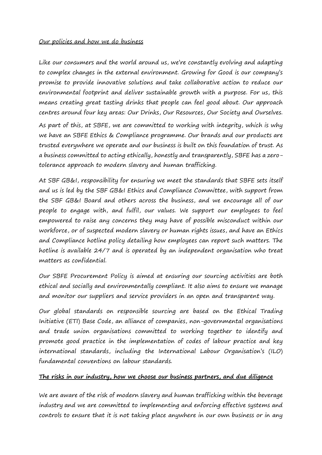#### Our policies and how we do business

matters as confidential.

Like our consumers and the world around us, we're constantly evolving and adapting to complex changes in the external environment. Growing for Good is our company's promise to provide innovative solutions and take collaborative action to reduce our environmental footprint and deliver sustainable growth with a purpose. For us, this means creating great tasting drinks that people can feel good about. Our approach centres around four key areas: Our Drinks, Our Resources, Our Society and Ourselves. As part of this, at SBFE, we are committed to working with integrity, which is why we have an SBFE Ethics & Compliance programme. Our brands and our products are trusted everywhere we operate and our business is built on this foundation of trust. As

a business committed to acting ethically, honestly and transparently, SBFE has a zero-

tolerance approach to modern slavery and human trafficking. At SBF GB&I, responsibility for ensuring we meet the standards that SBFE sets itself and us is led by the SBF GB&I Ethics and Compliance Committee, with support from the SBF GB&I Board and others across the business, and we encourage all of our people to engage with, and fulfil, our values. We support our employees to feel empowered to raise any concerns they may have of possible misconduct within our workforce, or of suspected modern slavery or human rights issues, and have an Ethics and Compliance hotline policy detailing how employees can report such matters. The hotline is available 24/7 and is operated by an independent organisation who treat

Our SBFE Procurement Policy is aimed at ensuring our sourcing activities are both ethical and socially and environmentally compliant. It also aims to ensure we manage and monitor our suppliers and service providers in an open and transparent way.

Our global standards on responsible sourcing are based on the Ethical Trading Initiative (ETI) Base Code, an alliance of companies, non-governmental organisations and trade union organisations committed to working together to identify and promote good practice in the implementation of codes of labour practice and key international standards, including the International Labour Organisation's (ILO) fundamental conventions on labour standards.

#### **The risks in our industry, how we choose our business partners, and due diligence**

We are aware of the risk of modern slavery and human trafficking within the beverage industry and we are committed to implementing and enforcing effective systems and controls to ensure that it is not taking place anywhere in our own business or in any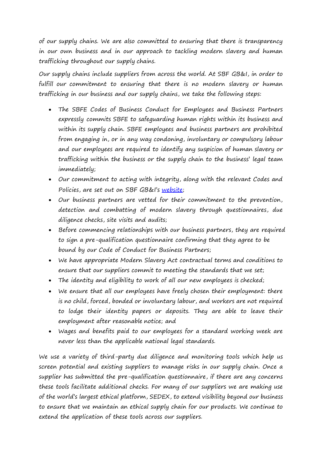of our supply chains. We are also committed to ensuring that there is transparency in our own business and in our approach to tackling modern slavery and human trafficking throughout our supply chains.

Our supply chains include suppliers from across the world. At SBF GB&I, in order to fulfill our commitment to ensuring that there is no modern slavery or human trafficking in our business and our supply chains, we take the following steps:

- The SBFE Codes of Business Conduct for Employees and Business Partners expressly commits SBFE to safeguarding human rights within its business and within its supply chain. SBFE employees and business partners are prohibited from engaging in, or in any way condoning, involuntary or compulsory labour and our employees are required to identify any suspicion of human slavery or trafficking within the business or the supply chain to the business' legal team immediately;
- Our commitment to acting with integrity, along with the relevant Codes and Policies, are set out on SBF GB&I's website;
- Our business partners are vetted for their commitment to the prevention, detection and combatting of modern slavery through questionnaires, due diligence checks, site visits and audits;
- Before commencing relationships with our business partners, they are required to sign a pre-qualification questionnaire confirming that they agree to be bound by our Code of Conduct for Business Partners;
- We have appropriate Modern Slavery Act contractual terms and conditions to ensure that our suppliers commit to meeting the standards that we set;
- The identity and eligibility to work of all our new employees is checked;
- We ensure that all our employees have freely chosen their employment: there is no child, forced, bonded or involuntary labour, and workers are not required to lodge their identity papers or deposits. They are able to leave their employment after reasonable notice; and
- Wages and benefits paid to our employees for a standard working week are never less than the applicable national legal standards.

We use a variety of third-party due diligence and monitoring tools which help us screen potential and existing suppliers to manage risks in our supply chain. Once a supplier has submitted the pre-qualification questionnaire, if there are any concerns these tools facilitate additional checks. For many of our suppliers we are making use of the world's largest ethical platform, SEDEX, to extend visibility beyond our business to ensure that we maintain an ethical supply chain for our products. We continue to extend the application of these tools across our suppliers.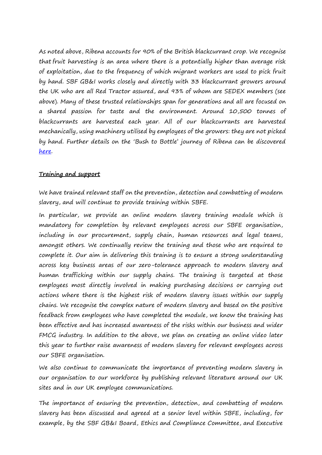As noted above, Ribena accounts for 90% of the British blackcurrant crop. We recognise that fruit harvesting is an area where there is a potentially higher than average risk of exploitation, due to the frequency of which migrant workers are used to pick fruit by hand. SBF GB&I works closely and directly with 33 blackcurrant growers around the UK who are all Red Tractor assured, and 93% of whom are SEDEX members (see above). Many of these trusted relationships span for generations and all are focused on a shared passion for taste and the environment. Around 10,500 tonnes of blackcurrants are harvested each year. All of our blackcurrants are harvested mechanically, using machinery utilised by employees of the growers: they are not picked by hand. Further details on the 'Bush to Bottle' journey of Ribena can be discovered here.

#### **Training and support**

We have trained relevant staff on the prevention, detection and combatting of modern slavery, and will continue to provide training within SBFE.

In particular, we provide an online modern slavery training module which is mandatory for completion by relevant employees across our SBFE organisation, including in our procurement, supply chain, human resources and legal teams, amongst others. We continually review the training and those who are required to complete it. Our aim in delivering this training is to ensure a strong understanding across key business areas of our zero-tolerance approach to modern slavery and human trafficking within our supply chains. The training is targeted at those employees most directly involved in making purchasing decisions or carrying out actions where there is the highest risk of modern slavery issues within our supply chains. We recognise the complex nature of modern slavery and based on the positive feedback from employees who have completed the module, we know the training has been effective and has increased awareness of the risks within our business and wider FMCG industry. In addition to the above, we plan on creating an online video later this year to further raise awareness of modern slavery for relevant employees across our SBFE organisation.

We also continue to communicate the importance of preventing modern slavery in our organisation to our workforce by publishing relevant literature around our UK sites and in our UK employee communications.

The importance of ensuring the prevention, detection, and combatting of modern slavery has been discussed and agreed at a senior level within SBFE, including, for example, by the SBF GB&I Board, Ethics and Compliance Committee, and Executive